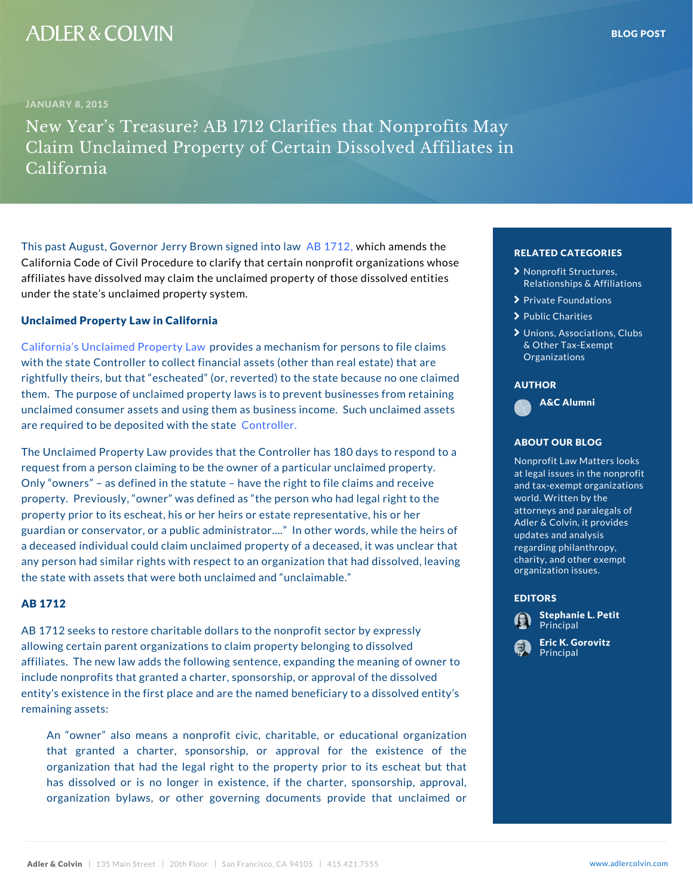# This past August, Governor Jerry BabBowlm7,we2hiojonhedaminetnodisatwh| California Code of Civil Procedure to clarify that certain nonprofit organizations on affiliates have dissolved may claim the unclaimed property palationships  $\frac{1}{2}$  affile

Unclaimed Property Law in California

under the state s unclaimed property system.

[California s Unclaimed](�� h t t p : / / w w w . s c o . c a . g o v / f i l e s - u p d / g u i d e _ u p d _ u p d l a w . p d f) p Pow potersy a Lane chanism for persons with the state Controller to collect financial assets (other than that that are than  $\frac{1}{n}$  has areas of the state of that are that are the state of that are the state of the state of the state of the state of the state rightfully theirs, but that escheated (or, reverted) to the state and cone claimed because one claimed because them. The purpose of unclaimed property laws is to prevent businesses from retaining the set of the session of unclaimed consumer assets and using them as business  $\Box$  income.  $\Box$  include  $\Box$  include assets and using them as business  $\Box$ are required to be deposited multichaller estate

The Unclaimed Property Law provides that the Controller has 180 days to a 180 point request from a person claiming to be the owner of a par Only owners as defined in the statute have the righ property. Previously, owner was defined as the perso property prior to its escheat, his or her heirs or estate guardian or conservator, or a public administrator &. In a deceased individual could claim unclaimed property of any person had similar rights with respect to an organiz the state with assets that were both unclaimed and unc

## AB 1712

AB 1712 seeks to restore charitable dollars to the nonprofit sector and sector and set allowing certain parent organizations to claim property **belong the second of the second set of**  $\mathbf{d}$ affiliates. The new law adds the following sentence, expanding the meaning of include nonprofits that granted a charter, sponsorship, **or approval of the distormance of the dis**so entity s existence in the first place and are the named beneficially to a dissolved entity substitution of the remaining assets:

An owner also means a nonprofit civic, charitable, or educational organizational organizational organizational org that granted a charter, sponsorship, or approval for the existence of the existence of the existence of the existence of the existence of the existence of the existence of the existence of the existence of the existence of organization that had the legal right to the property prior to its established at has dissolved or is no longer in existence, if the charter charter in the charter of the charter of the charter organization bylaws, or other governing documents provide that unclaimed or

# RELATED CATEGORIE [Nonprofit Stru](�� h t t p s : / / w w w . a d l e r c o l v i n . c o m / b l o g / c a t e g o r y / n o n p r o f i t - s t r u c t u r e s - r e l a t i o n s h i p s - a f f i l i a t i o n s /)ctures,

- [Relationships &](�� h t t p s : / / w w w . a d l e r c o l v i n . c o m / b l o g / c a t e g o r y / n o n p r o f i t - s t r u c t u r e s - r e l a t i o n s h i p s - a f f i l i a t i o n s /) Affi $^{\circ}$
- > [Private Foun](�� h t t p s : / / w w w . a d l e r c o l v i n . c o m / b l o g / c a t e g o r y / p r i v a t e - f o u n d a t i o n s /)dations
- > [Public Ch](�� h t t p s : / / w w w . a d l e r c o l v i n . c o m / b l o g / c a t e g o r y / p u b l i c - c h a r i t i e s /)arities
- $\blacktriangleright$  [Unions, Associat](�� h t t p s : / / w w w . a d l e r c o l v i n . c o m / b l o g / c a t e g o r y / u n i o n s - a s s o c i a t i o n s - c l u b s - o t h e r - t a x - e x e m p t - o r g a n i z a t i o n s /)ions [& Other Tax-](�� h t t p s : / / w w w . a d l e r c o l v i n . c o m / b l o g / c a t e g o r y / u n i o n s - a s s o c i a t i o n s - c l u b s - o t h e r - t a x - e x e m p t - o r g a n i z a t i o n s /)Exempt [Organiza](�� h t t p s : / / w w w . a d l e r c o l v i n . c o m / b l o g / c a t e g o r y / u n i o n s - a s s o c i a t i o n s - c l u b s - o t h e r - t a x - e x e m p t - o r g a n i z a t i o n s /)tions

A&C Alumni

AUTHOR

# ABOUT OUR BLOG

Nonprofit Law Matters at legal issues in the el and tax-exempt organ<sup>e ce</sup> world. Written by the to attorneys and paraleg<sub>ra</sub> Adler & Colvin, it pro updates and analysis he regarding philanthrop nc charity, and other  $ex\ddot{q}$  er organization issues.

### EDITORS